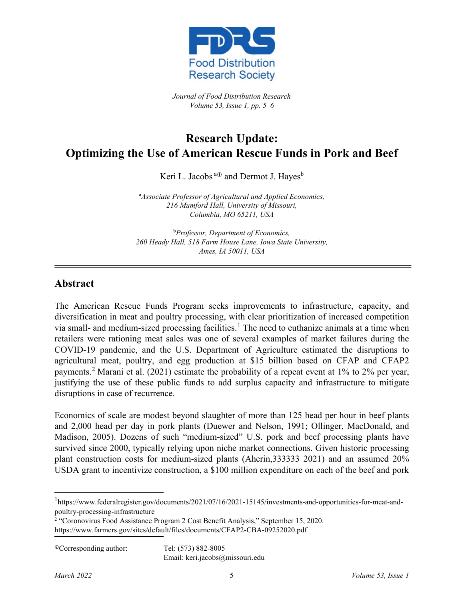

*Journal of Food Distribution Research Volume 53, Issue 1, pp. 5–6*

## **Research Update: Optimizing the Use of American Rescue Funds in Pork and Beef**

Keri L. Jacobs<sup>a $\Phi$ </sup> and Dermot J. Hayes<sup>b</sup>

a *Associate Professor of Agricultural and Applied Economics, 216 Mumford Hall, University of Missouri, Columbia, MO 65211, USA*

b *Professor, Department of Economics, 260 Heady Hall, 518 Farm House Lane, Iowa State University, Ames, IA 50011, USA*

## **Abstract**

The American Rescue Funds Program seeks improvements to infrastructure, capacity, and diversification in meat and poultry processing, with clear prioritization of increased competition via small- and medium-sized processing facilities.<sup>[1](#page-0-0)</sup> The need to euthanize animals at a time when retailers were rationing meat sales was one of several examples of market failures during the COVID-19 pandemic, and the U.S. Department of Agriculture estimated the disruptions to agricultural meat, poultry, and egg production at \$15 billion based on CFAP and CFAP2 payments.[2](#page-0-1) Marani et al. (2021) estimate the probability of a repeat event at 1% to 2% per year, justifying the use of these public funds to add surplus capacity and infrastructure to mitigate disruptions in case of recurrence.

Economics of scale are modest beyond slaughter of more than 125 head per hour in beef plants and 2,000 head per day in pork plants (Duewer and Nelson, 1991; Ollinger, MacDonald, and Madison, 2005). Dozens of such "medium-sized" U.S. pork and beef processing plants have survived since 2000, typically relying upon niche market connections. Given historic processing plant construction costs for medium-sized plants (Aherin,333333 2021) and an assumed 20% USDA grant to incentivize construction, a \$100 million expenditure on each of the beef and pork

Email: [keri.jacobs@](mailto:name@university.edu)missouri.edu

<span id="page-0-0"></span><sup>1</sup> [https://www.federalregister.gov/documents/2021/07/16/2021-15145/investments-and-opportunities-for-meat-and](https://www.federalregister.gov/documents/2021/07/16/2021-15145/investments-and-opportunities-for-meat-and-poultry-processing-infrastructure)[poultry-processing-infrastructure](https://www.federalregister.gov/documents/2021/07/16/2021-15145/investments-and-opportunities-for-meat-and-poultry-processing-infrastructure)

<span id="page-0-1"></span><sup>2</sup> "Coronovirus Food Assistance Program 2 Cost Benefit Analysis," September 15, 2020. <https://www.farmers.gov/sites/default/files/documents/CFAP2-CBA-09252020.pdf>

Corresponding author: Tel: (573) 882-8005